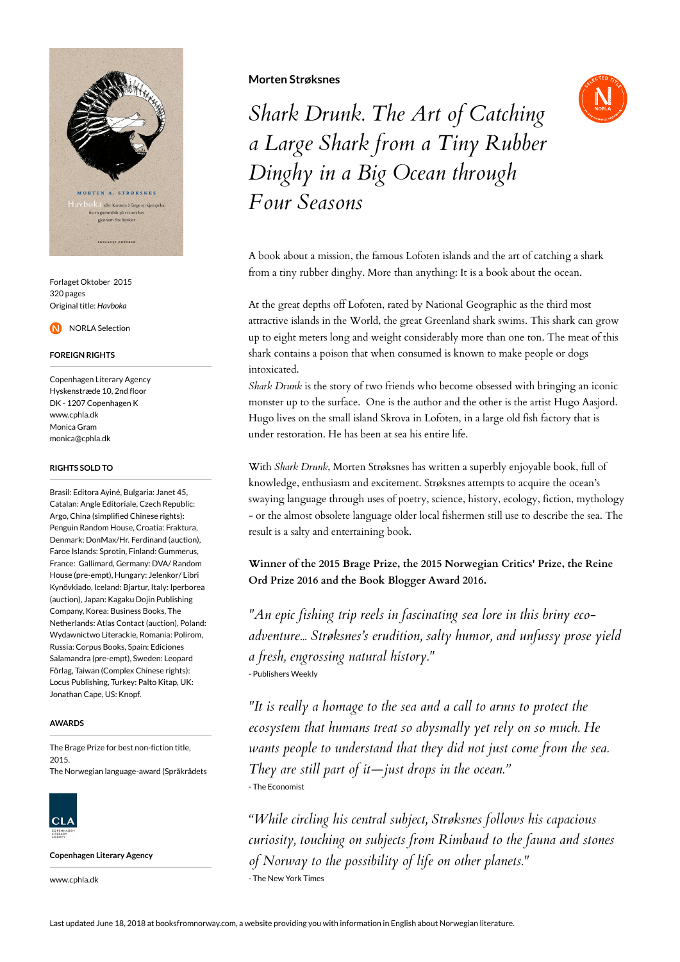

Forlaget Oktober 2015 320 pages Original title: *Havboka*

NORLA Selection

### **FOREIGN RIGHTS**

Copenhagen Literary Agency Hyskenstræde 10, 2nd floor DK - 1207 Copenhagen K www.cphla.dk Monica Gram monica@cphla.dk

#### **RIGHTS SOLD TO**

Brasil: Editora Ayiné, Bulgaria: Janet 45, Catalan: Angle Editoriale, Czech Republic: Argo, China (simplified Chinese rights): Penguin Random House, Croatia: Fraktura, Denmark: DonMax/Hr. Ferdinand (auction), Faroe Islands: Sprotin, Finland: Gummerus, France: Gallimard, Germany: DVA/ Random House (pre-empt), Hungary: Jelenkor/ Libri Kynövkiado, Iceland: Bjartur, Italy: Iperborea (auction), Japan: Kagaku Dojin Publishing Company, Korea: Business Books, The Netherlands: Atlas Contact (auction), Poland: Wydawnictwo Literackie, Romania: Polirom, Russia: Corpus Books, Spain: Ediciones Salamandra (pre-empt), Sweden: Leopard Förlag, Taiwan (Complex Chinese rights): Locus Publishing, Turkey: Palto Kitap, UK: Jonathan Cape, US: Knopf.

#### **AWARDS**

The Brage Prize for best non-fiction title, 2015. The Norwegian language-award (Språkrådets

 $CLA$ 

**Copenhagen Literary Agency**

www.cphla.dk

## **Morten Strøksnes**



*Shark Drunk. The Art of Catching a Large Shark from a Tiny Rubber Dinghy in a Big Ocean through Four Seasons*

A book about a mission, the famous Lofoten islands and the art of catching a shark from a tiny rubber dinghy. More than anything: It is a book about the ocean.

At the great depths off Lofoten, rated by National Geographic as the third most attractive islands in the World, the great Greenland shark swims. This shark can grow up to eight meters long and weight considerably more than one ton. The meat of this shark contains a poison that when consumed is known to make people or dogs intoxicated.

*Shark Drunk* is the story of two friends who become obsessed with bringing an iconic monster up to the surface. One is the author and the other is the artist Hugo Aasjord. Hugo lives on the small island Skrova in Lofoten, in a large old fish factory that is under restoration. He has been at sea his entire life.

With *Shark Drunk*, Morten Strøksnes has written a superbly enjoyable book, full of knowledge, enthusiasm and excitement. Strøksnes attempts to acquire the ocean's swaying language through uses of poetry, science, history, ecology, fiction, mythology - or the almost obsolete language older local fishermen still use to describe the sea. The result is a salty and entertaining book.

**Winner of the 2015 Brage Prize, the 2015 Norwegian Critics' Prize, the Reine Ord Prize 2016 and the Book Blogger Award 2016.**

*"An epic fishing trip reels in fascinating sea lore in this briny ecoadventure... Strøksnes's erudition, salty humor, and unfussy prose yield a fresh, engrossing natural history."* - Publishers Weekly

*"It is really a homage to the sea and a call to arms to protect the ecosystem that humans treat so abysmally yet rely on so much. He wants people to understand that they did not just come from the sea. They are still part of it—just drops in the ocean."* - The Economist

*"While circling his central subject, Strøksnes follows his capacious curiosity, touching on subjects from Rimbaud to the fauna and stones of Norway to the possibility of life on other planets."* - The New York Times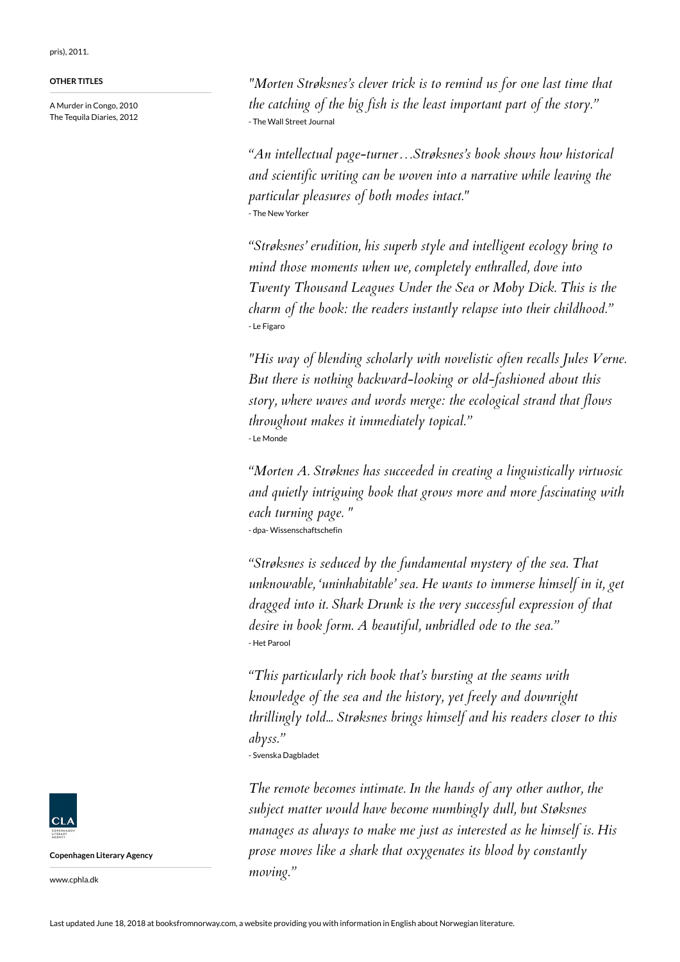pris), 2011.

## **OTHER TITLES**

A Murder in Congo, 2010 The Tequila Diaries, 2012

*"Morten Strøksnes's clever trick is to remind us for one last time that the catching of the big fish is the least important part of the story."* - The Wall Street Journal

*"An intellectual page-turner…Strøksnes's book shows how historical and scientific writing can be woven into a narrative while leaving the particular pleasures of both modes intact."* - The New Yorker

*"Strøksnes' erudition, his superb style and intelligent ecology bring to mind those moments when we, completely enthralled, dove into Twenty Thousand Leagues Under the Sea or Moby Dick. This is the charm of the book: the readers instantly relapse into their childhood."* - Le Figaro

*"His way of blending scholarly with novelistic often recalls Jules Verne. But there is nothing backward-looking or old-fashioned about this story, where waves and words merge: the ecological strand that flows throughout makes it immediately topical."* - Le Monde

*"Morten A. Strøknes has succeeded in creating a linguistically virtuosic and quietly intriguing book that grows more and more fascinating with each turning page. "* - dpa- Wissenschaftschefin

*"Strøksnes is seduced by the fundamental mystery of the sea. That unknowable, 'uninhabitable' sea. He wants to immerse himself in it, get dragged into it. Shark Drunk is the very successful expression of that desire in book form. A beautiful, unbridled ode to the sea."* - Het Parool

*"This particularly rich book that's bursting at the seams with knowledge of the sea and the history, yet freely and downright thrillingly told... Strøksnes brings himself and his readers closer to this abyss."*

- Svenska Dagbladet

*The remote becomes intimate. In the hands of any other author, the subject matter would have become numbingly dull, but Støksnes manages as always to make me just as interested as he himself is. His prose moves like a shark that oxygenates its blood by constantly moving."*



**Copenhagen Literary Agency**

www.cphla.dk